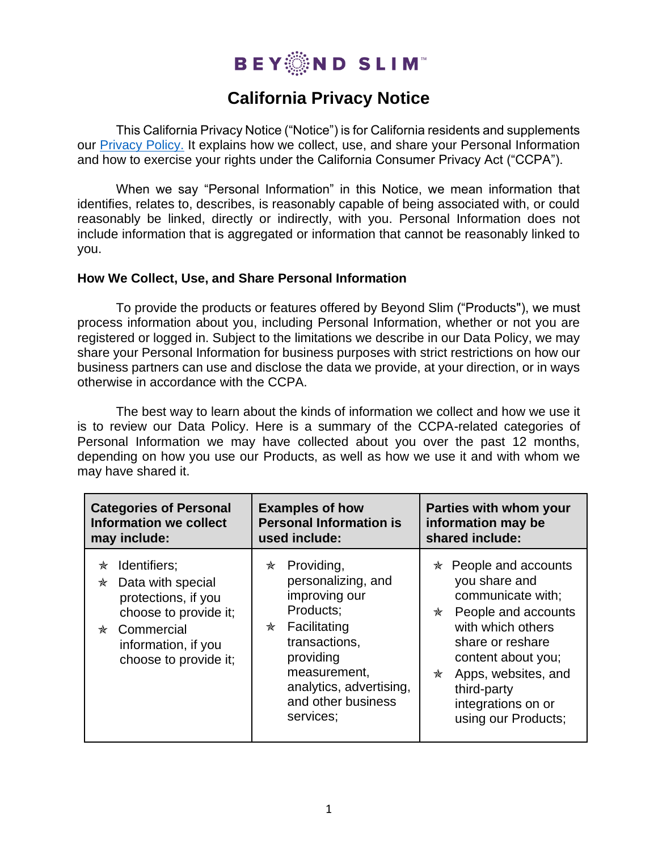

# **California Privacy Notice**

This California Privacy Notice ("Notice") is for California residents and supplements our [Privacy](file:///C:/Users/ltaff/OneDrive%20-%20beyondslim.com/BYS%20Corp/Legal/Final%20Legal%20docs%20in%20Use/BYS%20Privacy%20Policy%207_24_20.pdf) Policy. It explains how we collect, use, and share your Personal Information and how to exercise your rights under the California Consumer Privacy Act ("CCPA").

When we say "Personal Information" in this Notice, we mean information that identifies, relates to, describes, is reasonably capable of being associated with, or could reasonably be linked, directly or indirectly, with you. Personal Information does not include information that is aggregated or information that cannot be reasonably linked to you.

#### **How We Collect, Use, and Share Personal Information**

To provide the products or features offered by Beyond Slim ("Products"), we must process information about you, including Personal Information, whether or not you are registered or logged in. Subject to the limitations we describe in our Data Policy, we may share your Personal Information for business purposes with strict restrictions on how our business partners can use and disclose the data we provide, at your direction, or in ways otherwise in accordance with the CCPA.

The best way to learn about the kinds of information we collect and how we use it is to review our Data Policy. Here is a summary of the CCPA-related categories of Personal Information we may have collected about you over the past 12 months, depending on how you use our Products, as well as how we use it and with whom we may have shared it.

| <b>Categories of Personal</b>                                                                                                                               | <b>Examples of how</b>                                                                                                                                                                               | Parties with whom your                                                                                                                                                                                                                            |  |
|-------------------------------------------------------------------------------------------------------------------------------------------------------------|------------------------------------------------------------------------------------------------------------------------------------------------------------------------------------------------------|---------------------------------------------------------------------------------------------------------------------------------------------------------------------------------------------------------------------------------------------------|--|
| <b>Information we collect</b>                                                                                                                               | <b>Personal Information is</b>                                                                                                                                                                       | information may be                                                                                                                                                                                                                                |  |
| may include:                                                                                                                                                | used include:                                                                                                                                                                                        | shared include:                                                                                                                                                                                                                                   |  |
| Identifiers;<br>₩<br>Data with special<br>₩<br>protections, if you<br>choose to provide it;<br>* Commercial<br>information, if you<br>choose to provide it; | Providing,<br>✬<br>personalizing, and<br>improving our<br>Products;<br>Facilitating<br>✬<br>transactions,<br>providing<br>measurement,<br>analytics, advertising,<br>and other business<br>services; | People and accounts<br>✬<br>you share and<br>communicate with:<br>People and accounts<br>✬<br>with which others<br>share or reshare<br>content about you;<br>Apps, websites, and<br>₩<br>third-party<br>integrations on or<br>using our Products; |  |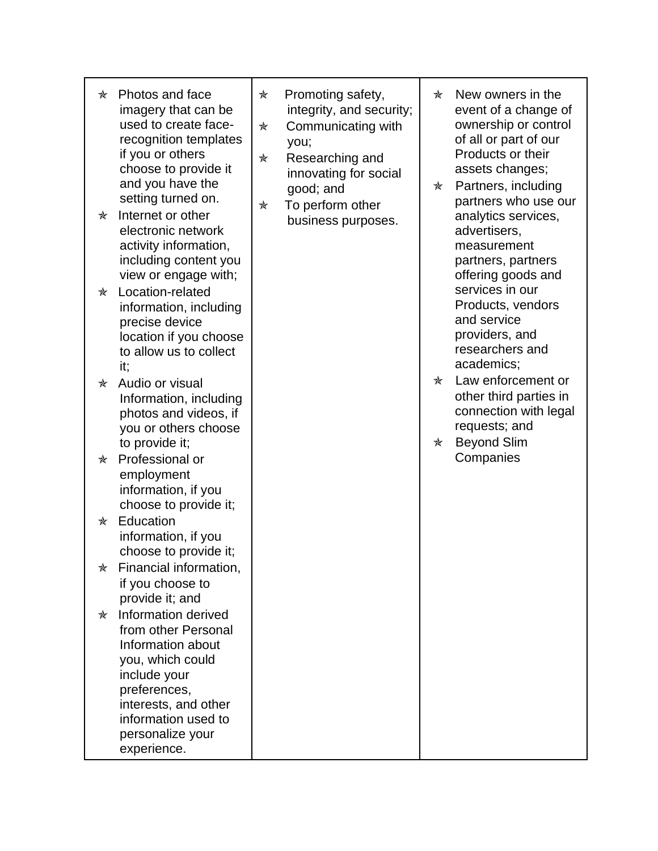| ₩<br>☆ | Photos and face<br>imagery that can be<br>used to create face-<br>recognition templates<br>if you or others<br>choose to provide it<br>and you have the<br>setting turned on.<br>Internet or other    | ☆<br>☆<br>★<br>★ | Promoting safety,<br>integrity, and security;<br>Communicating with<br>you;<br>Researching and<br>innovating for social<br>good; and<br>To perform other<br>business purposes. | ₩<br>☆ | New owners in the<br>event of a change of<br>ownership or control<br>of all or part of our<br>Products or their<br>assets changes;<br>Partners, including<br>partners who use our<br>analytics services, |
|--------|-------------------------------------------------------------------------------------------------------------------------------------------------------------------------------------------------------|------------------|--------------------------------------------------------------------------------------------------------------------------------------------------------------------------------|--------|----------------------------------------------------------------------------------------------------------------------------------------------------------------------------------------------------------|
|        | electronic network<br>activity information,<br>including content you<br>view or engage with;                                                                                                          |                  |                                                                                                                                                                                |        | advertisers,<br>measurement<br>partners, partners<br>offering goods and                                                                                                                                  |
| ✬      | Location-related<br>information, including<br>precise device<br>location if you choose<br>to allow us to collect<br>it:                                                                               |                  |                                                                                                                                                                                |        | services in our<br>Products, vendors<br>and service<br>providers, and<br>researchers and<br>academics;                                                                                                   |
| ✬      | Audio or visual<br>Information, including<br>photos and videos, if<br>you or others choose<br>to provide it;                                                                                          |                  |                                                                                                                                                                                | ₩<br>☆ | Law enforcement or<br>other third parties in<br>connection with legal<br>requests; and<br><b>Beyond Slim</b>                                                                                             |
| ₩      | Professional or<br>employment<br>information, if you<br>choose to provide it;                                                                                                                         |                  |                                                                                                                                                                                |        | Companies                                                                                                                                                                                                |
| ₩      | Education<br>information, if you<br>choose to provide it;                                                                                                                                             |                  |                                                                                                                                                                                |        |                                                                                                                                                                                                          |
| ☆      | Financial information,<br>if you choose to<br>provide it; and                                                                                                                                         |                  |                                                                                                                                                                                |        |                                                                                                                                                                                                          |
| ₩      | Information derived<br>from other Personal<br>Information about<br>you, which could<br>include your<br>preferences,<br>interests, and other<br>information used to<br>personalize your<br>experience. |                  |                                                                                                                                                                                |        |                                                                                                                                                                                                          |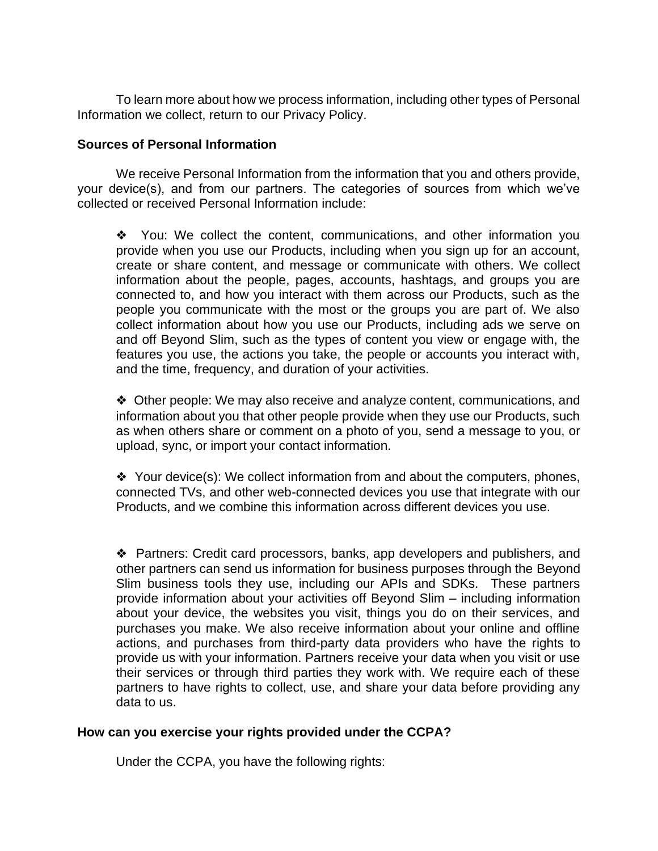To learn more about how we process information, including other types of Personal Information we collect, return to our Privacy Policy.

### **Sources of Personal Information**

We receive Personal Information from the information that you and others provide, your device(s), and from our partners. The categories of sources from which we've collected or received Personal Information include:

❖ You: We collect the content, communications, and other information you provide when you use our Products, including when you sign up for an account, create or share content, and message or communicate with others. We collect information about the people, pages, accounts, hashtags, and groups you are connected to, and how you interact with them across our Products, such as the people you communicate with the most or the groups you are part of. We also collect information about how you use our Products, including ads we serve on and off Beyond Slim, such as the types of content you view or engage with, the features you use, the actions you take, the people or accounts you interact with, and the time, frequency, and duration of your activities.

❖ Other people: We may also receive and analyze content, communications, and information about you that other people provide when they use our Products, such as when others share or comment on a photo of you, send a message to you, or upload, sync, or import your contact information.

❖ Your device(s): We collect information from and about the computers, phones, connected TVs, and other web-connected devices you use that integrate with our Products, and we combine this information across different devices you use.

❖ Partners: Credit card processors, banks, app developers and publishers, and other partners can send us information for business purposes through the Beyond Slim business tools they use, including our APIs and SDKs. These partners provide information about your activities off Beyond Slim – including information about your device, the websites you visit, things you do on their services, and purchases you make. We also receive information about your online and offline actions, and purchases from third-party data providers who have the rights to provide us with your information. Partners receive your data when you visit or use their services or through third parties they work with. We require each of these partners to have rights to collect, use, and share your data before providing any data to us.

## **How can you exercise your rights provided under the CCPA?**

Under the CCPA, you have the following rights: